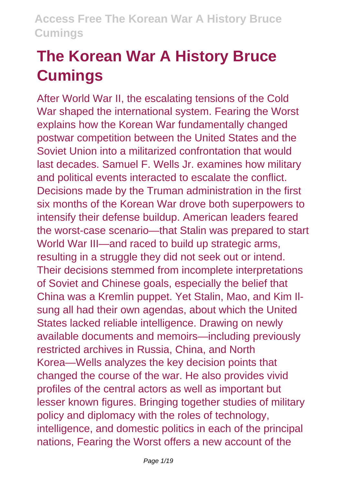# **The Korean War A History Bruce Cumings**

After World War II, the escalating tensions of the Cold War shaped the international system. Fearing the Worst explains how the Korean War fundamentally changed postwar competition between the United States and the Soviet Union into a militarized confrontation that would last decades. Samuel F. Wells Jr. examines how military and political events interacted to escalate the conflict. Decisions made by the Truman administration in the first six months of the Korean War drove both superpowers to intensify their defense buildup. American leaders feared the worst-case scenario—that Stalin was prepared to start World War III—and raced to build up strategic arms, resulting in a struggle they did not seek out or intend. Their decisions stemmed from incomplete interpretations of Soviet and Chinese goals, especially the belief that China was a Kremlin puppet. Yet Stalin, Mao, and Kim Ilsung all had their own agendas, about which the United States lacked reliable intelligence. Drawing on newly available documents and memoirs—including previously restricted archives in Russia, China, and North Korea—Wells analyzes the key decision points that changed the course of the war. He also provides vivid profiles of the central actors as well as important but lesser known figures. Bringing together studies of military policy and diplomacy with the roles of technology, intelligence, and domestic politics in each of the principal nations, Fearing the Worst offers a new account of the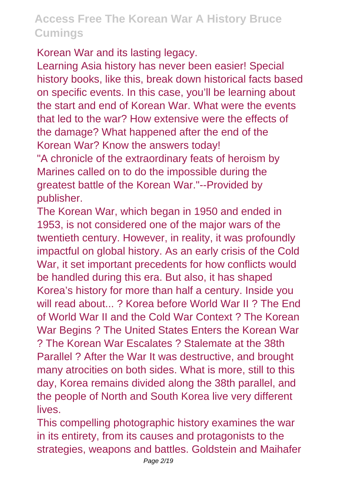Korean War and its lasting legacy.

Learning Asia history has never been easier! Special history books, like this, break down historical facts based on specific events. In this case, you'll be learning about the start and end of Korean War. What were the events that led to the war? How extensive were the effects of the damage? What happened after the end of the Korean War? Know the answers today!

"A chronicle of the extraordinary feats of heroism by Marines called on to do the impossible during the greatest battle of the Korean War."--Provided by publisher.

The Korean War, which began in 1950 and ended in 1953, is not considered one of the major wars of the twentieth century. However, in reality, it was profoundly impactful on global history. As an early crisis of the Cold War, it set important precedents for how conflicts would be handled during this era. But also, it has shaped Korea's history for more than half a century. Inside you will read about....... ? Korea before World War II ? The End of World War II and the Cold War Context ? The Korean War Begins ? The United States Enters the Korean War ? The Korean War Escalates ? Stalemate at the 38th Parallel ? After the War It was destructive, and brought many atrocities on both sides. What is more, still to this day, Korea remains divided along the 38th parallel, and the people of North and South Korea live very different lives.

This compelling photographic history examines the war in its entirety, from its causes and protagonists to the strategies, weapons and battles. Goldstein and Maihafer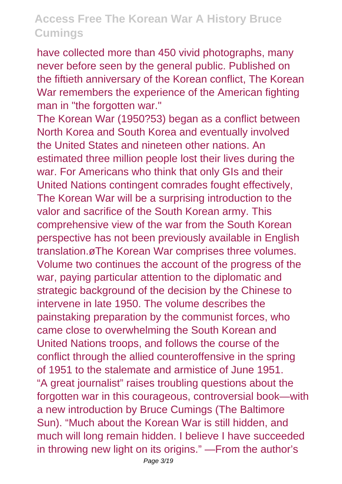have collected more than 450 vivid photographs, many never before seen by the general public. Published on the fiftieth anniversary of the Korean conflict, The Korean War remembers the experience of the American fighting man in "the forgotten war."

The Korean War (1950?53) began as a conflict between North Korea and South Korea and eventually involved the United States and nineteen other nations. An estimated three million people lost their lives during the war. For Americans who think that only GIs and their United Nations contingent comrades fought effectively, The Korean War will be a surprising introduction to the valor and sacrifice of the South Korean army. This comprehensive view of the war from the South Korean perspective has not been previously available in English translation.øThe Korean War comprises three volumes. Volume two continues the account of the progress of the war, paying particular attention to the diplomatic and strategic background of the decision by the Chinese to intervene in late 1950. The volume describes the painstaking preparation by the communist forces, who came close to overwhelming the South Korean and United Nations troops, and follows the course of the conflict through the allied counteroffensive in the spring of 1951 to the stalemate and armistice of June 1951. "A great journalist" raises troubling questions about the forgotten war in this courageous, controversial book—with a new introduction by Bruce Cumings (The Baltimore Sun). "Much about the Korean War is still hidden, and much will long remain hidden. I believe I have succeeded in throwing new light on its origins." —From the author's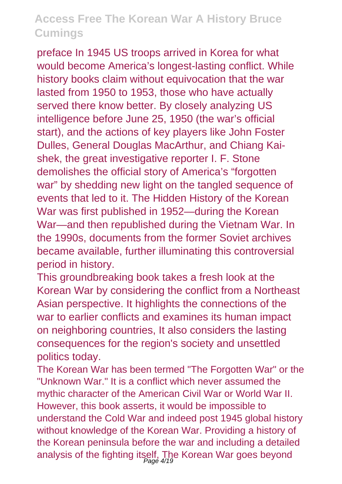preface In 1945 US troops arrived in Korea for what would become America's longest-lasting conflict. While history books claim without equivocation that the war lasted from 1950 to 1953, those who have actually served there know better. By closely analyzing US intelligence before June 25, 1950 (the war's official start), and the actions of key players like John Foster Dulles, General Douglas MacArthur, and Chiang Kaishek, the great investigative reporter I. F. Stone demolishes the official story of America's "forgotten war" by shedding new light on the tangled sequence of events that led to it. The Hidden History of the Korean War was first published in 1952—during the Korean War—and then republished during the Vietnam War. In the 1990s, documents from the former Soviet archives became available, further illuminating this controversial period in history.

This groundbreaking book takes a fresh look at the Korean War by considering the conflict from a Northeast Asian perspective. It highlights the connections of the war to earlier conflicts and examines its human impact on neighboring countries, It also considers the lasting consequences for the region's society and unsettled politics today.

The Korean War has been termed "The Forgotten War" or the "Unknown War." It is a conflict which never assumed the mythic character of the American Civil War or World War II. However, this book asserts, it would be impossible to understand the Cold War and indeed post 1945 global history without knowledge of the Korean War. Providing a history of the Korean peninsula before the war and including a detailed analysis of the fighting itself. The Korean War goes beyond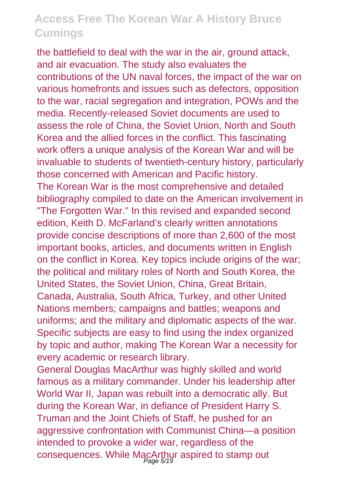the battlefield to deal with the war in the air, ground attack, and air evacuation. The study also evaluates the contributions of the UN naval forces, the impact of the war on various homefronts and issues such as defectors, opposition to the war, racial segregation and integration, POWs and the media. Recently-released Soviet documents are used to assess the role of China, the Soviet Union, North and South Korea and the allied forces in the conflict. This fascinating work offers a unique analysis of the Korean War and will be invaluable to students of twentieth-century history, particularly those concerned with American and Pacific history. The Korean War is the most comprehensive and detailed bibliography compiled to date on the American involvement in "The Forgotten War." In this revised and expanded second edition, Keith D. McFarland's clearly written annotations provide concise descriptions of more than 2,600 of the most important books, articles, and documents written in English on the conflict in Korea. Key topics include origins of the war; the political and military roles of North and South Korea, the United States, the Soviet Union, China, Great Britain, Canada, Australia, South Africa, Turkey, and other United Nations members; campaigns and battles; weapons and uniforms; and the military and diplomatic aspects of the war. Specific subjects are easy to find using the index organized by topic and author, making The Korean War a necessity for every academic or research library.

General Douglas MacArthur was highly skilled and world famous as a military commander. Under his leadership after World War II, Japan was rebuilt into a democratic ally. But during the Korean War, in defiance of President Harry S. Truman and the Joint Chiefs of Staff, he pushed for an aggressive confrontation with Communist China—a position intended to provoke a wider war, regardless of the consequences. While MacArthur aspired to stamp out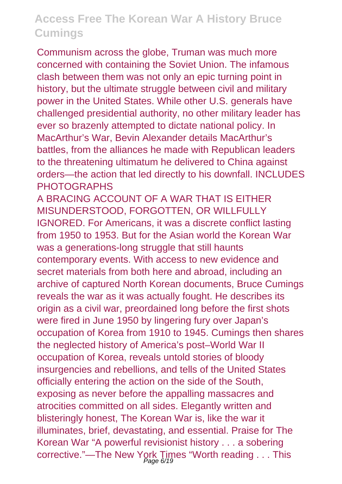Communism across the globe, Truman was much more concerned with containing the Soviet Union. The infamous clash between them was not only an epic turning point in history, but the ultimate struggle between civil and military power in the United States. While other U.S. generals have challenged presidential authority, no other military leader has ever so brazenly attempted to dictate national policy. In MacArthur's War, Bevin Alexander details MacArthur's battles, from the alliances he made with Republican leaders to the threatening ultimatum he delivered to China against orders—the action that led directly to his downfall. INCLUDES **PHOTOGRAPHS** 

A BRACING ACCOUNT OF A WAR THAT IS EITHER MISUNDERSTOOD, FORGOTTEN, OR WILLFULLY IGNORED. For Americans, it was a discrete conflict lasting from 1950 to 1953. But for the Asian world the Korean War was a generations-long struggle that still haunts contemporary events. With access to new evidence and secret materials from both here and abroad, including an archive of captured North Korean documents, Bruce Cumings reveals the war as it was actually fought. He describes its origin as a civil war, preordained long before the first shots were fired in June 1950 by lingering fury over Japan's occupation of Korea from 1910 to 1945. Cumings then shares the neglected history of America's post–World War II occupation of Korea, reveals untold stories of bloody insurgencies and rebellions, and tells of the United States officially entering the action on the side of the South, exposing as never before the appalling massacres and atrocities committed on all sides. Elegantly written and blisteringly honest, The Korean War is, like the war it illuminates, brief, devastating, and essential. Praise for The Korean War "A powerful revisionist history . . . a sobering corrective."—The New York Times "Worth reading . . . This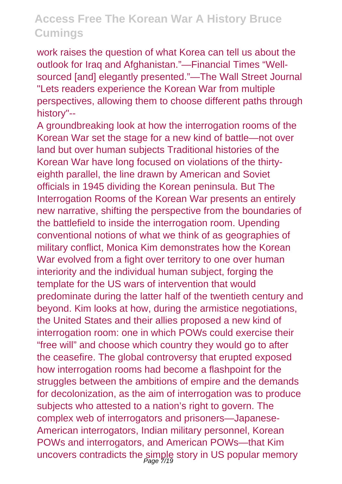work raises the question of what Korea can tell us about the outlook for Iraq and Afghanistan."—Financial Times "Wellsourced [and] elegantly presented."—The Wall Street Journal "Lets readers experience the Korean War from multiple perspectives, allowing them to choose different paths through history"--

A groundbreaking look at how the interrogation rooms of the Korean War set the stage for a new kind of battle—not over land but over human subjects Traditional histories of the Korean War have long focused on violations of the thirtyeighth parallel, the line drawn by American and Soviet officials in 1945 dividing the Korean peninsula. But The Interrogation Rooms of the Korean War presents an entirely new narrative, shifting the perspective from the boundaries of the battlefield to inside the interrogation room. Upending conventional notions of what we think of as geographies of military conflict, Monica Kim demonstrates how the Korean War evolved from a fight over territory to one over human interiority and the individual human subject, forging the template for the US wars of intervention that would predominate during the latter half of the twentieth century and beyond. Kim looks at how, during the armistice negotiations, the United States and their allies proposed a new kind of interrogation room: one in which POWs could exercise their "free will" and choose which country they would go to after the ceasefire. The global controversy that erupted exposed how interrogation rooms had become a flashpoint for the struggles between the ambitions of empire and the demands for decolonization, as the aim of interrogation was to produce subjects who attested to a nation's right to govern. The complex web of interrogators and prisoners—Japanese-American interrogators, Indian military personnel, Korean POWs and interrogators, and American POWs—that Kim uncovers contradicts the simple story in US popular memory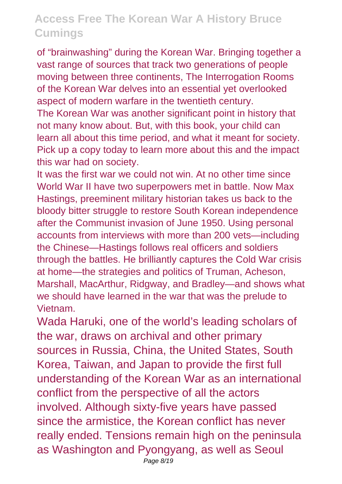of "brainwashing" during the Korean War. Bringing together a vast range of sources that track two generations of people moving between three continents, The Interrogation Rooms of the Korean War delves into an essential yet overlooked aspect of modern warfare in the twentieth century.

The Korean War was another significant point in history that not many know about. But, with this book, your child can learn all about this time period, and what it meant for society. Pick up a copy today to learn more about this and the impact this war had on society.

It was the first war we could not win. At no other time since World War II have two superpowers met in battle. Now Max Hastings, preeminent military historian takes us back to the bloody bitter struggle to restore South Korean independence after the Communist invasion of June 1950. Using personal accounts from interviews with more than 200 vets—including the Chinese—Hastings follows real officers and soldiers through the battles. He brilliantly captures the Cold War crisis at home—the strategies and politics of Truman, Acheson, Marshall, MacArthur, Ridgway, and Bradley—and shows what we should have learned in the war that was the prelude to Vietnam.

Wada Haruki, one of the world's leading scholars of the war, draws on archival and other primary sources in Russia, China, the United States, South Korea, Taiwan, and Japan to provide the first full understanding of the Korean War as an international conflict from the perspective of all the actors involved. Although sixty-five years have passed since the armistice, the Korean conflict has never really ended. Tensions remain high on the peninsula as Washington and Pyongyang, as well as Seoul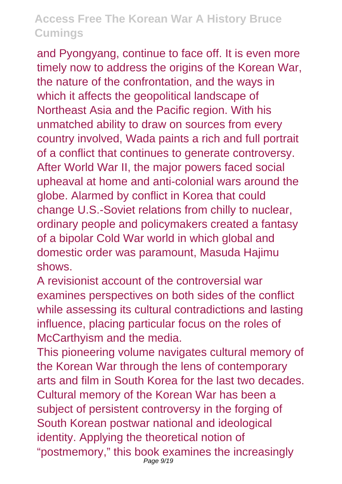and Pyongyang, continue to face off. It is even more timely now to address the origins of the Korean War, the nature of the confrontation, and the ways in which it affects the geopolitical landscape of Northeast Asia and the Pacific region. With his unmatched ability to draw on sources from every country involved, Wada paints a rich and full portrait of a conflict that continues to generate controversy. After World War II, the major powers faced social upheaval at home and anti-colonial wars around the globe. Alarmed by conflict in Korea that could change U.S.-Soviet relations from chilly to nuclear, ordinary people and policymakers created a fantasy of a bipolar Cold War world in which global and domestic order was paramount, Masuda Hajimu shows.

A revisionist account of the controversial war examines perspectives on both sides of the conflict while assessing its cultural contradictions and lasting influence, placing particular focus on the roles of McCarthyism and the media.

This pioneering volume navigates cultural memory of the Korean War through the lens of contemporary arts and film in South Korea for the last two decades. Cultural memory of the Korean War has been a subject of persistent controversy in the forging of South Korean postwar national and ideological identity. Applying the theoretical notion of "postmemory," this book examines the increasingly Page 9/19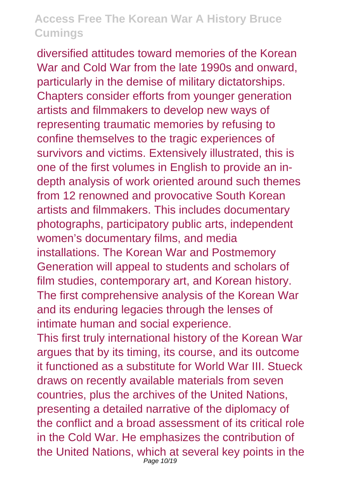diversified attitudes toward memories of the Korean War and Cold War from the late 1990s and onward, particularly in the demise of military dictatorships. Chapters consider efforts from younger generation artists and filmmakers to develop new ways of representing traumatic memories by refusing to confine themselves to the tragic experiences of survivors and victims. Extensively illustrated, this is one of the first volumes in English to provide an indepth analysis of work oriented around such themes from 12 renowned and provocative South Korean artists and filmmakers. This includes documentary photographs, participatory public arts, independent women's documentary films, and media installations. The Korean War and Postmemory Generation will appeal to students and scholars of film studies, contemporary art, and Korean history. The first comprehensive analysis of the Korean War and its enduring legacies through the lenses of intimate human and social experience.

This first truly international history of the Korean War argues that by its timing, its course, and its outcome it functioned as a substitute for World War III. Stueck draws on recently available materials from seven countries, plus the archives of the United Nations, presenting a detailed narrative of the diplomacy of the conflict and a broad assessment of its critical role in the Cold War. He emphasizes the contribution of the United Nations, which at several key points in the Page 10/19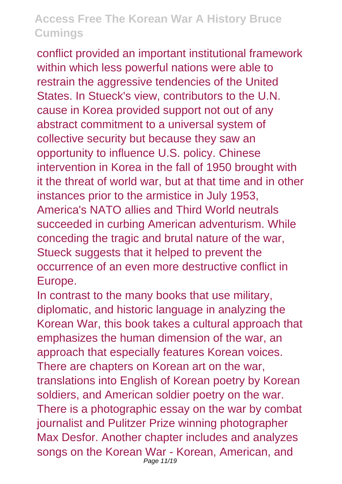conflict provided an important institutional framework within which less powerful nations were able to restrain the aggressive tendencies of the United States. In Stueck's view, contributors to the U.N. cause in Korea provided support not out of any abstract commitment to a universal system of collective security but because they saw an opportunity to influence U.S. policy. Chinese intervention in Korea in the fall of 1950 brought with it the threat of world war, but at that time and in other instances prior to the armistice in July 1953, America's NATO allies and Third World neutrals succeeded in curbing American adventurism. While conceding the tragic and brutal nature of the war, Stueck suggests that it helped to prevent the occurrence of an even more destructive conflict in Europe.

In contrast to the many books that use military, diplomatic, and historic language in analyzing the Korean War, this book takes a cultural approach that emphasizes the human dimension of the war, an approach that especially features Korean voices. There are chapters on Korean art on the war, translations into English of Korean poetry by Korean soldiers, and American soldier poetry on the war. There is a photographic essay on the war by combat journalist and Pulitzer Prize winning photographer Max Desfor. Another chapter includes and analyzes songs on the Korean War - Korean, American, and Page 11/19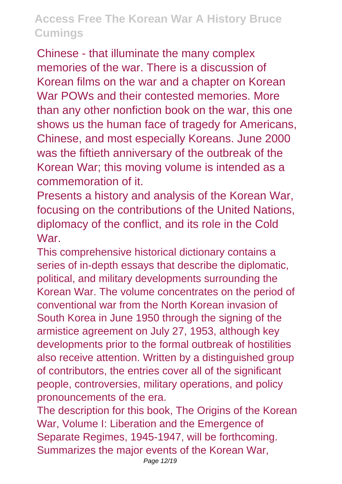Chinese - that illuminate the many complex memories of the war. There is a discussion of Korean films on the war and a chapter on Korean War POWs and their contested memories. More than any other nonfiction book on the war, this one shows us the human face of tragedy for Americans, Chinese, and most especially Koreans. June 2000 was the fiftieth anniversary of the outbreak of the Korean War; this moving volume is intended as a commemoration of it.

Presents a history and analysis of the Korean War, focusing on the contributions of the United Nations, diplomacy of the conflict, and its role in the Cold War.

This comprehensive historical dictionary contains a series of in-depth essays that describe the diplomatic, political, and military developments surrounding the Korean War. The volume concentrates on the period of conventional war from the North Korean invasion of South Korea in June 1950 through the signing of the armistice agreement on July 27, 1953, although key developments prior to the formal outbreak of hostilities also receive attention. Written by a distinguished group of contributors, the entries cover all of the significant people, controversies, military operations, and policy pronouncements of the era.

The description for this book. The Origins of the Korean War, Volume I: Liberation and the Emergence of Separate Regimes, 1945-1947, will be forthcoming. Summarizes the major events of the Korean War,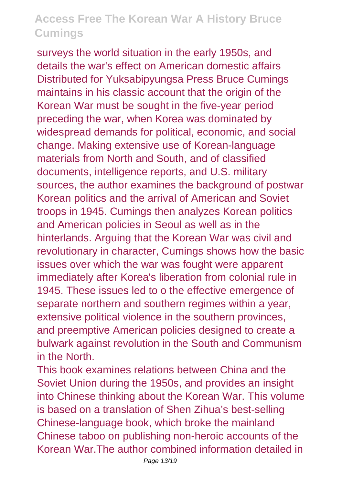surveys the world situation in the early 1950s, and details the war's effect on American domestic affairs Distributed for Yuksabipyungsa Press Bruce Cumings maintains in his classic account that the origin of the Korean War must be sought in the five-year period preceding the war, when Korea was dominated by widespread demands for political, economic, and social change. Making extensive use of Korean-language materials from North and South, and of classified documents, intelligence reports, and U.S. military sources, the author examines the background of postwar Korean politics and the arrival of American and Soviet troops in 1945. Cumings then analyzes Korean politics and American policies in Seoul as well as in the hinterlands. Arguing that the Korean War was civil and revolutionary in character, Cumings shows how the basic issues over which the war was fought were apparent immediately after Korea's liberation from colonial rule in 1945. These issues led to o the effective emergence of separate northern and southern regimes within a year, extensive political violence in the southern provinces, and preemptive American policies designed to create a bulwark against revolution in the South and Communism in the North.

This book examines relations between China and the Soviet Union during the 1950s, and provides an insight into Chinese thinking about the Korean War. This volume is based on a translation of Shen Zihua's best-selling Chinese-language book, which broke the mainland Chinese taboo on publishing non-heroic accounts of the Korean War.The author combined information detailed in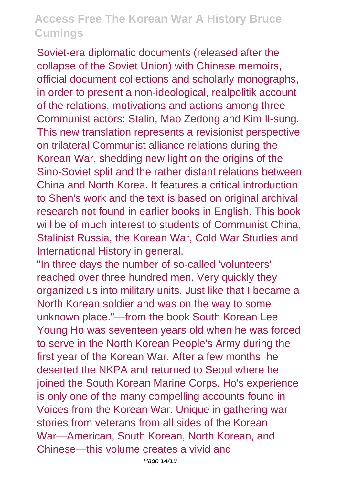Soviet-era diplomatic documents (released after the collapse of the Soviet Union) with Chinese memoirs, official document collections and scholarly monographs, in order to present a non-ideological, realpolitik account of the relations, motivations and actions among three Communist actors: Stalin, Mao Zedong and Kim Il-sung. This new translation represents a revisionist perspective on trilateral Communist alliance relations during the Korean War, shedding new light on the origins of the Sino-Soviet split and the rather distant relations between China and North Korea. It features a critical introduction to Shen's work and the text is based on original archival research not found in earlier books in English. This book will be of much interest to students of Communist China. Stalinist Russia, the Korean War, Cold War Studies and International History in general.

"In three days the number of so-called 'volunteers' reached over three hundred men. Very quickly they organized us into military units. Just like that I became a North Korean soldier and was on the way to some unknown place."—from the book South Korean Lee Young Ho was seventeen years old when he was forced to serve in the North Korean People's Army during the first year of the Korean War. After a few months, he deserted the NKPA and returned to Seoul where he joined the South Korean Marine Corps. Ho's experience is only one of the many compelling accounts found in Voices from the Korean War. Unique in gathering war stories from veterans from all sides of the Korean War—American, South Korean, North Korean, and Chinese—this volume creates a vivid and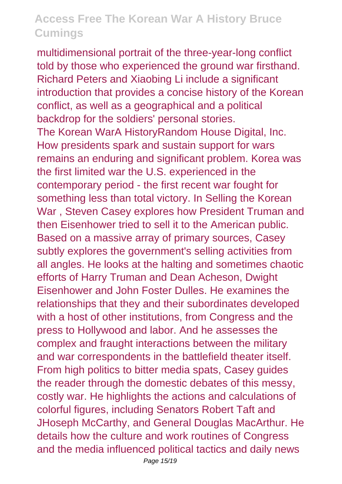multidimensional portrait of the three-year-long conflict told by those who experienced the ground war firsthand. Richard Peters and Xiaobing Li include a significant introduction that provides a concise history of the Korean conflict, as well as a geographical and a political backdrop for the soldiers' personal stories. The Korean WarA HistoryRandom House Digital, Inc. How presidents spark and sustain support for wars remains an enduring and significant problem. Korea was the first limited war the U.S. experienced in the contemporary period - the first recent war fought for something less than total victory. In Selling the Korean War , Steven Casey explores how President Truman and then Eisenhower tried to sell it to the American public. Based on a massive array of primary sources, Casey subtly explores the government's selling activities from all angles. He looks at the halting and sometimes chaotic efforts of Harry Truman and Dean Acheson, Dwight Eisenhower and John Foster Dulles. He examines the relationships that they and their subordinates developed with a host of other institutions, from Congress and the press to Hollywood and labor. And he assesses the complex and fraught interactions between the military and war correspondents in the battlefield theater itself. From high politics to bitter media spats, Casey guides the reader through the domestic debates of this messy, costly war. He highlights the actions and calculations of colorful figures, including Senators Robert Taft and JHoseph McCarthy, and General Douglas MacArthur. He details how the culture and work routines of Congress and the media influenced political tactics and daily news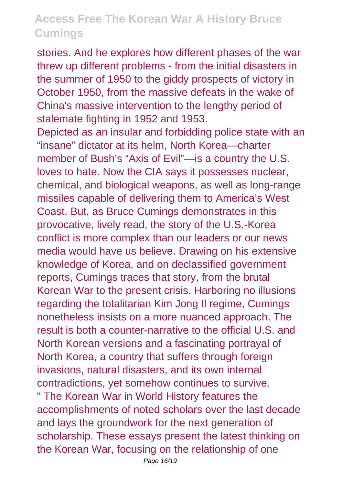stories. And he explores how different phases of the war threw up different problems - from the initial disasters in the summer of 1950 to the giddy prospects of victory in October 1950, from the massive defeats in the wake of China's massive intervention to the lengthy period of stalemate fighting in 1952 and 1953. Depicted as an insular and forbidding police state with an "insane" dictator at its helm, North Korea—charter member of Bush's "Axis of Evil"—is a country the U.S. loves to hate. Now the CIA says it possesses nuclear, chemical, and biological weapons, as well as long-range missiles capable of delivering them to America's West Coast. But, as Bruce Cumings demonstrates in this provocative, lively read, the story of the U.S.-Korea conflict is more complex than our leaders or our news media would have us believe. Drawing on his extensive knowledge of Korea, and on declassified government reports, Cumings traces that story, from the brutal Korean War to the present crisis. Harboring no illusions regarding the totalitarian Kim Jong Il regime, Cumings nonetheless insists on a more nuanced approach. The result is both a counter-narrative to the official U.S. and North Korean versions and a fascinating portrayal of North Korea, a country that suffers through foreign invasions, natural disasters, and its own internal contradictions, yet somehow continues to survive. " The Korean War in World History features the accomplishments of noted scholars over the last decade and lays the groundwork for the next generation of scholarship. These essays present the latest thinking on the Korean War, focusing on the relationship of one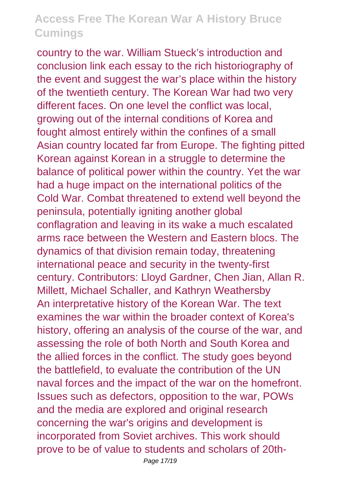country to the war. William Stueck's introduction and conclusion link each essay to the rich historiography of the event and suggest the war's place within the history of the twentieth century. The Korean War had two very different faces. On one level the conflict was local, growing out of the internal conditions of Korea and fought almost entirely within the confines of a small Asian country located far from Europe. The fighting pitted Korean against Korean in a struggle to determine the balance of political power within the country. Yet the war had a huge impact on the international politics of the Cold War. Combat threatened to extend well beyond the peninsula, potentially igniting another global conflagration and leaving in its wake a much escalated arms race between the Western and Eastern blocs. The dynamics of that division remain today, threatening international peace and security in the twenty-first century. Contributors: Lloyd Gardner, Chen Jian, Allan R. Millett, Michael Schaller, and Kathryn Weathersby An interpretative history of the Korean War. The text examines the war within the broader context of Korea's history, offering an analysis of the course of the war, and assessing the role of both North and South Korea and the allied forces in the conflict. The study goes beyond the battlefield, to evaluate the contribution of the UN naval forces and the impact of the war on the homefront. Issues such as defectors, opposition to the war, POWs and the media are explored and original research concerning the war's origins and development is incorporated from Soviet archives. This work should prove to be of value to students and scholars of 20th-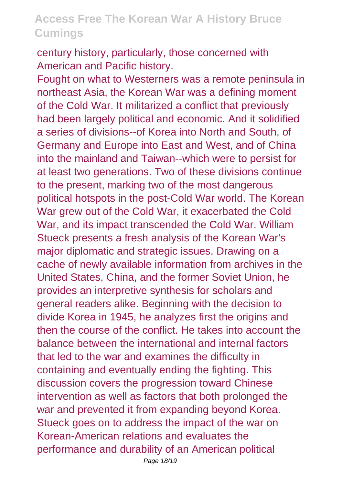century history, particularly, those concerned with American and Pacific history.

Fought on what to Westerners was a remote peninsula in northeast Asia, the Korean War was a defining moment of the Cold War. It militarized a conflict that previously had been largely political and economic. And it solidified a series of divisions--of Korea into North and South, of Germany and Europe into East and West, and of China into the mainland and Taiwan--which were to persist for at least two generations. Two of these divisions continue to the present, marking two of the most dangerous political hotspots in the post-Cold War world. The Korean War grew out of the Cold War, it exacerbated the Cold War, and its impact transcended the Cold War. William Stueck presents a fresh analysis of the Korean War's major diplomatic and strategic issues. Drawing on a cache of newly available information from archives in the United States, China, and the former Soviet Union, he provides an interpretive synthesis for scholars and general readers alike. Beginning with the decision to divide Korea in 1945, he analyzes first the origins and then the course of the conflict. He takes into account the balance between the international and internal factors that led to the war and examines the difficulty in containing and eventually ending the fighting. This discussion covers the progression toward Chinese intervention as well as factors that both prolonged the war and prevented it from expanding beyond Korea. Stueck goes on to address the impact of the war on Korean-American relations and evaluates the performance and durability of an American political